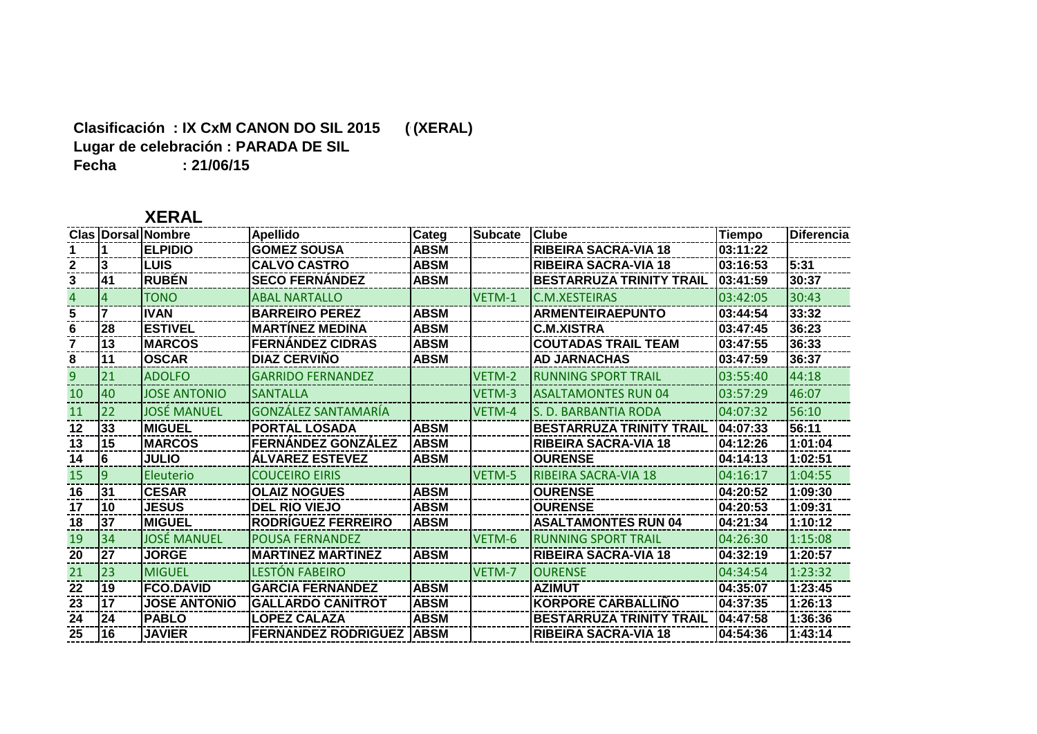#### **Clasificación : IX CxM CANON DO SIL 2015 ((XERAL) Lugar de celebración : PARADA DE SIL Fecha : 21/06/15**

## **XERAL**

|    |          | <b>Clas   Dorsal   Nombre</b> | <b>Apellido</b>            | Categ       | Subcate Clube |                                 | Tiempo   | <b>Diferencia</b> |
|----|----------|-------------------------------|----------------------------|-------------|---------------|---------------------------------|----------|-------------------|
|    |          | <b>ELPIDIO</b>                | <b>GOMEZ SOUSA</b>         | <b>ABSM</b> |               | <b>RIBEIRA SACRA-VIA 18</b>     | 03:11:22 |                   |
|    | 13       | <b>LUIS</b>                   | <b>CALVO CASTRO</b>        | <b>ABSM</b> |               | <b>RIBEIRA SACRA-VIA 18</b>     | 03:16:53 | 5:31              |
| 3  | 41       | <b>RUBÉN</b>                  | <b>SECO FERNANDEZ</b>      | <b>ABSM</b> |               | <b>BESTARRUZA TRINITY TRAIL</b> | 03:41:59 | 30:37             |
|    |          | <b>TONO</b>                   | <b>ABAL NARTALLO</b>       |             | VETM-1        | <b>C.M.XESTEIRAS</b>            | 03:42:05 | 30:43             |
| 5. |          | <b>IVAN</b>                   | <b>BARREIRO PEREZ</b>      | <b>ABSM</b> |               | <b>ARMENTEIRAEPUNTO</b>         | 03:44:54 | 33:32             |
| 6  | 28       | <b>ESTIVEL</b>                | <b>MARTÍNEZ MEDINA</b>     | <b>ABSM</b> |               | <b>C.M.XISTRA</b>               | 03:47:45 | 36:23             |
|    | 13       | <b>MARCOS</b>                 | <b>FERNÁNDEZ CIDRAS</b>    | <b>ABSM</b> |               | <b>COUTADAS TRAIL TEAM</b>      | 03:47:55 | 36:33             |
| 8  | 11       | <b>OSCAR</b>                  | <b>DIAZ CERVINO</b>        | ABSM        |               | <b>AD JARNACHAS</b>             | 03:47:59 | 36:37             |
| 9  | 21       | <b>ADOLFO</b>                 | <b>GARRIDO FERNANDEZ</b>   |             | VETM-2        | <b>RUNNING SPORT TRAIL</b>      | 03:55:40 | 44:18             |
| 10 | 40       | <b>JOSE ANTONIO</b>           | <b>SANTALLA</b>            |             | VETM-3        | <b>ASALTAMONTES RUN 04</b>      | 03:57:29 | 46:07             |
| 11 | 22       | <b>JOSÉ MANUEL</b>            | GONZÁLEZ SANTAMARÍA        |             | VETM-4        | S. D. BARBANTIA RODA            | 04:07:32 | 56:10             |
| 12 | 33       | <b>MIGUEL</b>                 | <b>PORTAL LOSADA</b>       | <b>ABSM</b> |               | <b>BESTARRUZA TRINITY TRAIL</b> | 04:07:33 | 56:11             |
| 13 | l15      | <b>IMARCOS</b>                | <b>FERNANDEZ GONZALEZ</b>  | <b>ABSM</b> |               | <b>RIBEIRA SACRA-VIA 18</b>     | 04:12:26 | 1:01:04           |
| 14 | 16       | <b>JULIO</b>                  | <b>ALVAREZ ESTEVEZ</b>     | ABSM        |               | <b>OURENSE</b>                  | 04:14:13 | 1:02:51           |
| 15 | <b>g</b> | Eleuterio                     | <b>COUCEIRO EIRIS</b>      |             | VETM-5        | <b>RIBEIRA SACRA-VIA 18</b>     | 04:16:17 | 1:04:55           |
| 16 | 131      | <b>CESAR</b>                  | <b>OLAIZ NOGUES</b>        | <b>ABSM</b> |               | <b>OURENSE</b>                  | 04:20:52 | 1:09:30           |
| 17 | 10       | <b>JESUS</b>                  | <b>DEL RIO VIEJO</b>       | <b>ABSM</b> |               | <b>OURENSE</b>                  | 04:20:53 | 1:09:31           |
| 18 | 137      | <b>MIGUEL</b>                 | <b>RODRÍGUEZ FERREIRO</b>  | <b>ABSM</b> |               | <b>ASALTAMONTES RUN 04</b>      | 04:21:34 | 1:10:12           |
| 19 | 34       | <b>JOSÉ MANUEL</b>            | <b>POUSA FERNANDEZ</b>     |             | VETM-6        | <b>RUNNING SPORT TRAIL</b>      | 04:26:30 | 1:15:08           |
| 20 | 27       | <b>JORGE</b>                  | <b>MARTINEZ MARTINEZ</b>   | <b>ABSM</b> |               | <b>RIBEIRA SACRA-VIA 18</b>     | 04:32:19 | 1:20:57           |
| 21 | 23       | <b>MIGUEL</b>                 | LESTÓN FABEIRO             |             | VETM-7        | <b>OURENSE</b>                  | 04:34:54 | 1:23:32           |
| 22 | 19       | <b>FCO.DAVID</b>              | <b>GARCIA FERNANDEZ</b>    | <b>ABSM</b> |               | <b>AZIMUT</b>                   | 04:35:07 | 1:23:45           |
| 23 | 17       | <b>JOSE ANTONIO</b>           | <b>GALLARDO CANITROT</b>   | <b>ABSM</b> |               | <b>KORPORE CARBALLIÑO</b>       | 04:37:35 | 1:26:13           |
| 24 | 24       | <b>PABLO</b>                  | <b>LOPEZ CALAZA</b>        | <b>ABSM</b> |               | <b>BESTARRUZA TRINITY TRAIL</b> | 04:47:58 | 1:36:36           |
| 25 | l16      | <b>JAVIER</b>                 | <b>FERNANDEZ RODRIGUEZ</b> | <b>ABSM</b> |               | <b>RIBEIRA SACRA-VIA 18</b>     | 04:54:36 | 1:43:14           |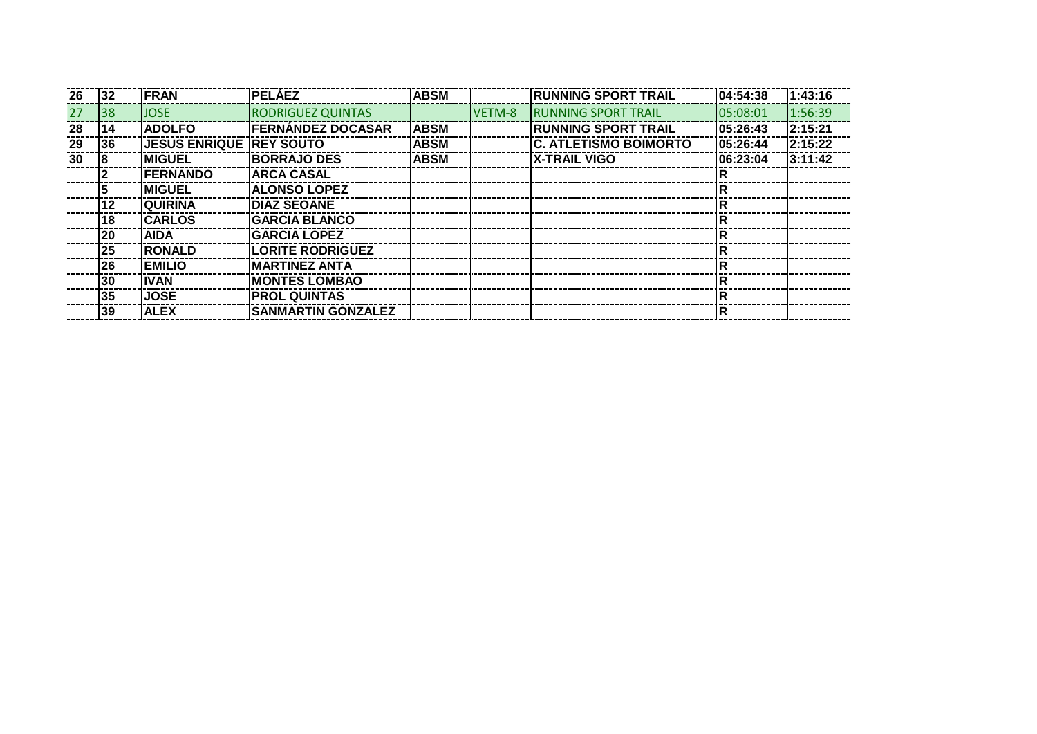| 26 | 32        | <b>FRAN</b>                     | <b>IPELÁEZ</b>            | <b>ABSM</b> |        | <b>RUNNING SPORT TRAIL</b>   | 04:54:38    | 1:43:16  |
|----|-----------|---------------------------------|---------------------------|-------------|--------|------------------------------|-------------|----------|
| 27 | 38        | <b>JOSE</b>                     | <b>RODRIGUEZ QUINTAS</b>  |             | VETM-8 | <b>IRUNNING SPORT TRAIL</b>  | 05:08:01    | 1:56:39  |
| 28 | 114       | <b>ADOLFO</b>                   | <b>IFERNANDEZ DOCASAR</b> | <b>ABSM</b> |        | <b>IRUNNING SPORT TRAIL</b>  | 05:26:43    | 12:15:21 |
| 29 | I36       | <b>JESUS ENRIQUE  REY SOUTO</b> |                           | <b>ABSM</b> |        | <b>C. ATLETISMO BOIMORTO</b> | 05:26:44    | 2:15:22  |
| 30 | 18        | <b>IMIGUEL</b>                  | <b>IBORRAJO DES</b>       | <b>ABSM</b> |        | <b>IX-TRAIL VIGO</b>         | 06:23:04    | 3:11:42  |
|    |           | <b>FERNANDO</b>                 | <b> ARCA CASAL</b>        |             |        |                              |             |          |
|    |           | <b>IMIGUEL</b>                  | <b>IALONSO LOPEZ</b>      |             |        |                              | R           |          |
|    | l12       | <b>IQUIRINA</b>                 | <b>IDIAZ SEOANE</b>       |             |        |                              | $\mathsf R$ |          |
|    | 118       | <b>CARLOS</b>                   | <b>IGARCIA BLANCO</b>     |             |        |                              | R           |          |
|    | <b>20</b> | <b>IAIDA</b>                    | IGARCIA LOPEZ             |             |        |                              | R           |          |
|    | 25        | <b>RONALD</b>                   | <b>LORITE RODRIGUEZ</b>   |             |        |                              | R           |          |
|    | <b>26</b> | <b>EMILIO</b>                   | IMARTINEZ ANTA            |             |        |                              | $\mathsf R$ |          |
|    | 30        | <b>IIVAN</b>                    | IMONTES LOMBAO            |             |        |                              | $\mathsf R$ |          |
|    | 35        | <b>JOSE</b>                     | <b>IPROL QUINTAS</b>      |             |        |                              | $\mathsf R$ |          |
|    | 39        | <b>ALEX</b>                     | <b>SANMARTIN GONZALEZ</b> |             |        |                              | ΙR          |          |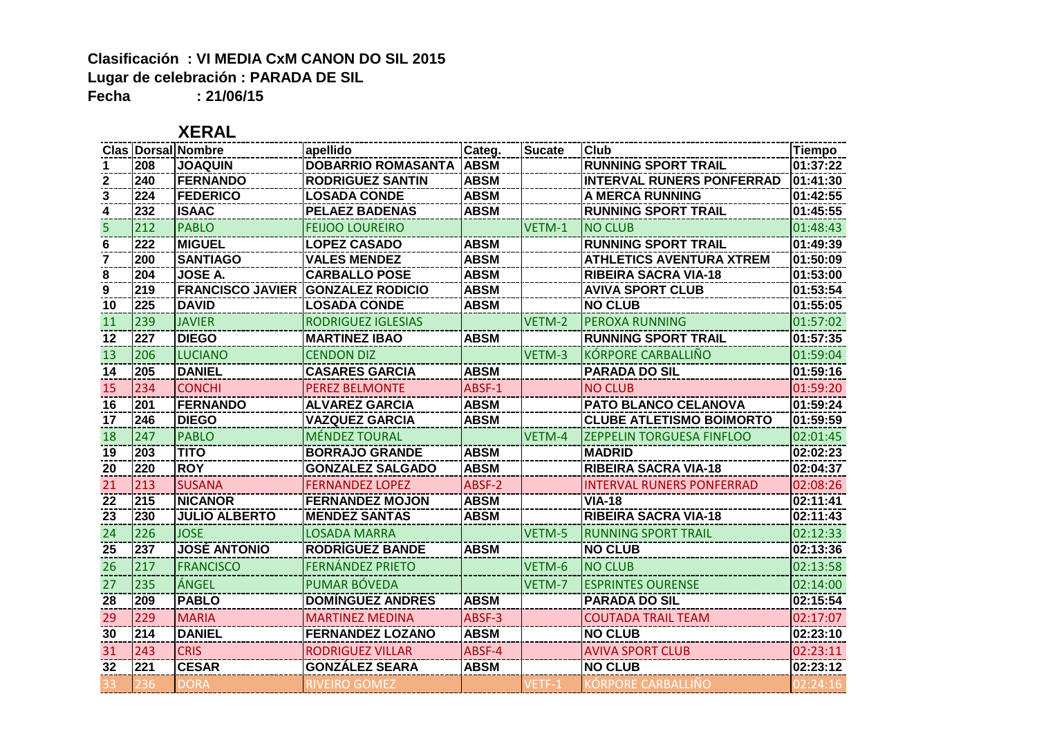### **Clasificación : VI MEDIA CxM CANON DO SIL 2015 Lugar de celebración : PARADA DE SIL Fecha : 21/06/15**

|              |                  | <b>Clas Dorsal Nombre</b> | apellido                  | Categ.      | <b>Sucate</b> | <b>Club</b>                      | Tiempo   |
|--------------|------------------|---------------------------|---------------------------|-------------|---------------|----------------------------------|----------|
|              | 208              | <b>JOAQUIN</b>            | <b>DOBARRIO ROMASANTA</b> | <b>ABSM</b> |               | <b>RUNNING SPORT TRAIL</b>       | 01:37:22 |
| $\mathbf{2}$ | 240              | <b>FERNANDO</b>           | <b>RODRIGUEZ SANTIN</b>   | <b>ABSM</b> |               | <b>INTERVAL RUNERS PONFERRAD</b> | 01:41:30 |
| 3            | 224              | <b>FEDERICO</b>           | <b>LOSADA CONDE</b>       | <b>ABSM</b> |               | <b>A MERCA RUNNING</b>           | 01:42:55 |
| 4            | 232              | <b>ISAAC</b>              | <b>PELAEZ BADENAS</b>     | <b>ABSM</b> |               | <b>RUNNING SPORT TRAIL</b>       | 01:45:55 |
| 5            | 212              | <b>PABLO</b>              | <b>FEIJOO LOUREIRO</b>    |             | VETM-1        | <b>NO CLUB</b>                   | 01:48:43 |
| 6            | 222              | <b>MIGUEL</b>             | <b>LOPEZ CASADO</b>       | <b>ABSM</b> |               | <b>RUNNING SPORT TRAIL</b>       | 01:49:39 |
|              | 200              | <b>SANTIAGO</b>           | <b>VALES MENDEZ</b>       | <b>ABSM</b> |               | <b>ATHLETICS AVENTURA XTREM</b>  | 01:50:09 |
| 8            | 204              | <b>JOSE A.</b>            | <b>CARBALLO POSE</b>      | <b>ABSM</b> |               | <b>RIBEIRA SACRA VIA-18</b>      | 01:53:00 |
| 9            | 219              | <b>FRANCISCO JAVIER</b>   | <b>IGONZALEZ RODICIO</b>  | <b>ABSM</b> |               | <b>AVIVA SPORT CLUB</b>          | 01:53:54 |
| 10           | 225              | <b>DAVID</b>              | <b>LOSADA CONDE</b>       | <b>ABSM</b> |               | <b>NO CLUB</b>                   | 01:55:05 |
| 11           | 239              | <b>JAVIER</b>             | <b>RODRIGUEZ IGLESIAS</b> |             | VETM-2        | <b>PEROXA RUNNING</b>            | 01:57:02 |
| 12           | 227              | <b>DIEGO</b>              | <b>MARTINEZ IBAO</b>      | <b>ABSM</b> |               | <b>RUNNING SPORT TRAIL</b>       | 01:57:35 |
| <b>13</b>    | 206              | <b>LUCIANO</b>            | <b>CENDON DIZ</b>         |             | VETM-3        | KORPORE CARBALLIÑO               | 01:59:04 |
| 14           | 205              | <b>DANIEL</b>             | <b>CASARES GARCIA</b>     | <b>ABSM</b> |               | <b>PARADA DO SIL</b>             | 01:59:16 |
| 15           | 234              | <b>CONCHI</b>             | <b>PEREZ BELMONTE</b>     | ABSF-1      |               | <b>NO CLUB</b>                   | 01:59:20 |
| 16           | 201              | <b>FERNANDO</b>           | <b>ALVAREZ GARCIA</b>     | <b>ABSM</b> |               | <b>PATO BLANCO CELANOVA</b>      | 01:59:24 |
| 17           | 246              | <b>DIEGO</b>              | <b>VAZQUEZ GARCIA</b>     | <b>ABSM</b> |               | <b>CLUBE ATLETISMO BOIMORTO</b>  | 01:59:59 |
| 18           | 247              | <b>PABLO</b>              | <b>MÉNDEZ TOURAL</b>      |             | VETM-4        | <b>ZEPPELIN TORGUESA FINFLOO</b> | 02:01:45 |
| 19           | 203              | <b>TITO</b>               | <b>BORRAJO GRANDE</b>     | <b>ABSM</b> |               | <b>MADRID</b>                    | 02:02:23 |
| 20           | 220              | <b>ROY</b>                | <b>GONZALEZ SALGADO</b>   | <b>ABSM</b> |               | <b>RIBEIRA SACRA VIA-18</b>      | 02:04:37 |
| 21           | 213              | <b>SUSANA</b>             | <b>FERNANDEZ LOPEZ</b>    | ABSF-2      |               | <b>INTERVAL RUNERS PONFERRAD</b> | 02:08:26 |
| 22           | $\overline{215}$ | <b>NICANOR</b>            | <b>FERNANDEZ MOJON</b>    | <b>ABSM</b> |               | $\overline{V}$ IA-18             | 02:11:41 |
| 23           | 230              | <b>JULIO ALBERTO</b>      | <b>MENDEZ SANTAS</b>      | <b>ABSM</b> |               | <b>RIBEIRA SACRA VIA-18</b>      | 02:11:43 |
| 24           | 226              | <b>JOSE</b>               | <b>LOSADA MARRA</b>       |             | VETM-5        | <b>RUNNING SPORT TRAIL</b>       | 02:12:33 |
| 25           | 237              | <b>JOSÉ ANTONIO</b>       | RODRÍGUEZ BANDE           | <b>ABSM</b> |               | <b>NO CLUB</b>                   | 02:13:36 |
| 26           | 217              | <b>FRANCISCO</b>          | <b>FERNÁNDEZ PRIETO</b>   |             | VETM-6        | <b>NO CLUB</b>                   | 02:13:58 |
| 27           | 235              | ÁNGEL                     | PUMAR BÓVEDA              |             | VETM-7        | <b>ESPRINTES OURENSE</b>         | 02:14:00 |
| 28           | 209              | <b>PABLO</b>              | <b>DOMÍNGUEZ ANDRES</b>   | <b>ABSM</b> |               | <b>PARADA DO SIL</b>             | 02:15:54 |
| 29           | 229              | <b>MARIA</b>              | <b>MARTINEZ MEDINA</b>    | ABSF-3      |               | <b>COUTADA TRAIL TEAM</b>        | 02:17:07 |
| 30           | 214              | <b>DANIEL</b>             | <b>FERNANDEZ LOZANO</b>   | <b>ABSM</b> |               | <b>NO CLUB</b>                   | 02:23:10 |
| 31           | 243              | <b>CRIS</b>               | <b>RODRIGUEZ VILLAR</b>   | ABSF-4      |               | <b>AVIVA SPORT CLUB</b>          | 02:23:11 |
| 32           | 221              | <b>CESAR</b>              | <b>GONZÁLEZ SEARA</b>     | <b>ABSM</b> |               | <b>NO CLUB</b>                   | 02:23:12 |
|              |                  | DORA                      | RIVEIRO GOMEZ             |             |               | (ÖRPORE CARBALLIÑO               |          |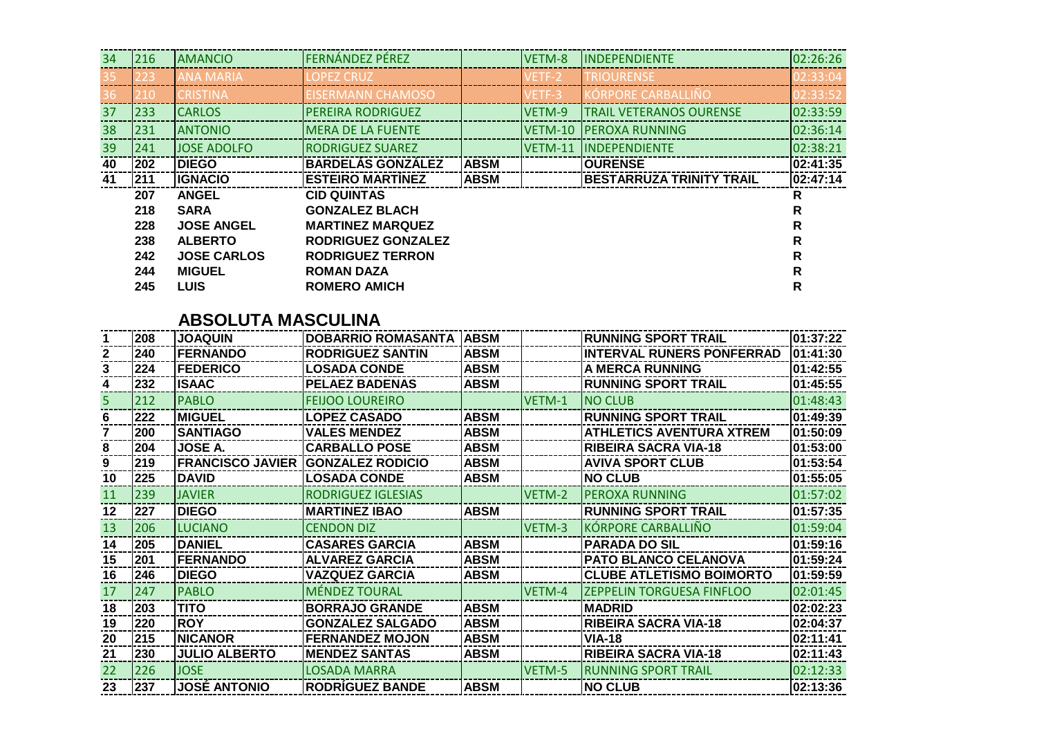| 34 | 216 | <b>AMANCIO</b>     | <b>FERNÁNDEZ PÉREZ</b>   |             | VETM-8  | <b>INDEPENDIENTE</b>            | 02:26:26 |
|----|-----|--------------------|--------------------------|-------------|---------|---------------------------------|----------|
| 35 | 223 | <b>ANA MARIA</b>   | LOPEZ CRUZ               |             | VETF-2  | <b>TRIOURENSE</b>               | 02:33:04 |
| 36 | 210 | <b>CRISTINA</b>    | EISERMANN CHAMOSO        |             | VETF-3  | <b>KÓRPORE CARBALLIÑO</b>       | 02:33:52 |
| 37 | 233 | <b>CARLOS</b>      | <b>PEREIRA RODRIGUEZ</b> |             | VETM-9  | <b>TRAIL VETERANOS OURENSE</b>  | 02:33:59 |
| 38 | 231 | <b>ANTONIO</b>     | <b>MERA DE LA FUENTE</b> |             | VETM-10 | <b>PEROXA RUNNING</b>           | 02:36:14 |
| 39 | 241 | <b>JOSE ADOLFO</b> | <b>RODRIGUEZ SUAREZ</b>  |             | VETM-11 | <b>INDEPENDIENTE</b>            | 02:38:21 |
| 40 | 202 | <b>IDIEGO</b>      | <b>BARDELÁS GONZÁLEZ</b> | <b>ABSM</b> |         | <b>IOURENSE</b>                 | 02:41:35 |
|    |     |                    |                          |             |         |                                 |          |
| 41 | 211 | <b>IIGNACIO</b>    | <b>ESTEIRO MARTINEZ</b>  | <b>ABSM</b> |         | <b>BESTARRUZA TRINITY TRAIL</b> | 02:47:14 |
|    | 207 | <b>ANGEL</b>       | <b>CID QUINTAS</b>       |             |         |                                 | R        |
|    | 218 | <b>SARA</b>        | <b>GONZALEZ BLACH</b>    |             |         |                                 | R        |
|    | 228 | <b>JOSE ANGEL</b>  | <b>MARTINEZ MARQUEZ</b>  |             |         |                                 | R        |
|    | 238 | <b>ALBERTO</b>     | RODRIGUEZ GONZALEZ       |             |         |                                 | R        |
|    | 242 | <b>JOSE CARLOS</b> | <b>RODRIGUEZ TERRON</b>  |             |         |                                 | R        |
|    | 244 | <b>MIGUEL</b>      | <b>ROMAN DAZA</b>        |             |         |                                 | R        |

#### **ABSOLUTA MASCULINA**

|    | 208 | <b>JOAQUIN</b>          | <b>DOBARRIO ROMASANTA</b> | <b>ABSM</b> |        | <b>RUNNING SPORT TRAIL</b>       | 01:37:22 |
|----|-----|-------------------------|---------------------------|-------------|--------|----------------------------------|----------|
|    | 240 | <b>FERNANDO</b>         | <b>RODRIGUEZ SANTIN</b>   | <b>ABSM</b> |        | <b>INTERVAL RUNERS PONFERRAD</b> | 01:41:30 |
|    | 224 | <b>FEDERICO</b>         | <b>LOSADA CONDE</b>       | <b>ABSM</b> |        | A MERCA RUNNING                  | 01:42:55 |
|    | 232 | <b>ISAAC</b>            | <b>PELAEZ BADENAS</b>     | <b>ABSM</b> |        | <b>RUNNING SPORT TRAIL</b>       | 01:45:55 |
| ь  | 212 | <b>PABLO</b>            | <b>FEIJOO LOUREIRO</b>    |             | VETM-1 | <b>NO CLUB</b>                   | 01:48:43 |
| 6  | 222 | <b>IMIGUEL</b>          | <b>LOPEZ CASADO</b>       | <b>ABSM</b> |        | <b>RUNNING SPORT TRAIL</b>       | 01:49:39 |
|    | 200 | <b>SANTIAGO</b>         | <b>VALES MENDEZ</b>       | <b>ABSM</b> |        | <b>ATHLETICS AVENTURA XTREM</b>  | 01:50:09 |
| 8  | 204 | JOSE A.                 | <b>CARBALLO POSE</b>      | <b>ABSM</b> |        | <b>RIBEIRA SACRA VIA-18</b>      | 01:53:00 |
|    | 219 | <b>FRANCISCO JAVIER</b> | <b>GONZALEZ RODICIO</b>   | <b>ABSM</b> |        | <b>AVIVA SPORT CLUB</b>          | 01:53:54 |
| 10 | 225 | <b>DAVID</b>            | <b>LOSADA CONDE</b>       | <b>ABSM</b> |        | <b>NO CLUB</b>                   | 01:55:05 |
| 11 | 239 | <b>JAVIER</b>           | RODRIGUEZ IGLESIAS        |             | VETM-2 | <b>PEROXA RUNNING</b>            | 01:57:02 |
| 12 | 227 | <b>DIEGO</b>            | <b>MARTINEZ IBAO</b>      | <b>ABSM</b> |        | <b>RUNNING SPORT TRAIL</b>       | 01:57:35 |
| 13 | 206 | <b>LUCIANO</b>          | <b>CENDON DIZ</b>         |             | VETM-3 | KÓRPORE CARBALLIÑO               | 01:59:04 |
| 14 | 205 | <b>DANIEL</b>           | <b>CASARES GARCIA</b>     | <b>ABSM</b> |        | <b>PARADA DO SIL</b>             | 01:59:16 |
| 15 | 201 | <b>IFERNANDO</b>        | <b>ALVAREZ GARCIA</b>     | <b>ABSM</b> |        | PATO BLANCO CELANOVA             | 01:59:24 |
| 16 | 246 | <b>DIEGO</b>            | <b>VAZQUEZ GARCIA</b>     | <b>ABSM</b> |        | <b>CLUBE ATLETISMO BOIMORTO</b>  | 01:59:59 |
| 17 | 247 | <b>PABLO</b>            | <b>MÉNDEZ TOURAL</b>      |             | VETM-4 | <b>ZEPPELIN TORGUESA FINFLOO</b> | 02:01:45 |
| 18 | 203 | <b>TITO</b>             | <b>BORRAJO GRANDE</b>     | <b>ABSM</b> |        | <b>MADRID</b>                    | 02:02:23 |
| 19 | 220 | <b>ROY</b>              | <b>GONZALEZ SALGADO</b>   | <b>ABSM</b> |        | <b>RIBEIRA SACRA VIA-18</b>      | 02:04:37 |
| 20 | 215 | <b>NICANOR</b>          | <b>FERNANDEZ MOJON</b>    | <b>ABSM</b> |        | <b>VIA-18</b>                    | 02:11:41 |
| 21 | 230 | <b>JULIO ALBERTO</b>    | <b>MENDEZ SANTAS</b>      | <b>ABSM</b> |        | <b>RIBEIRA SACRA VIA-18</b>      | 02:11:43 |
| 22 | 226 | <b>JOSE</b>             | <b>LOSADA MARRA</b>       |             | VETM-5 | <b>RUNNING SPORT TRAIL</b>       | 02:12:33 |
| 23 | 237 | <b>JOSÉ ANTONIO</b>     | <b>RODRÍGUEZ BANDE</b>    | <b>ABSM</b> |        | <b>NO CLUB</b>                   | 02:13:36 |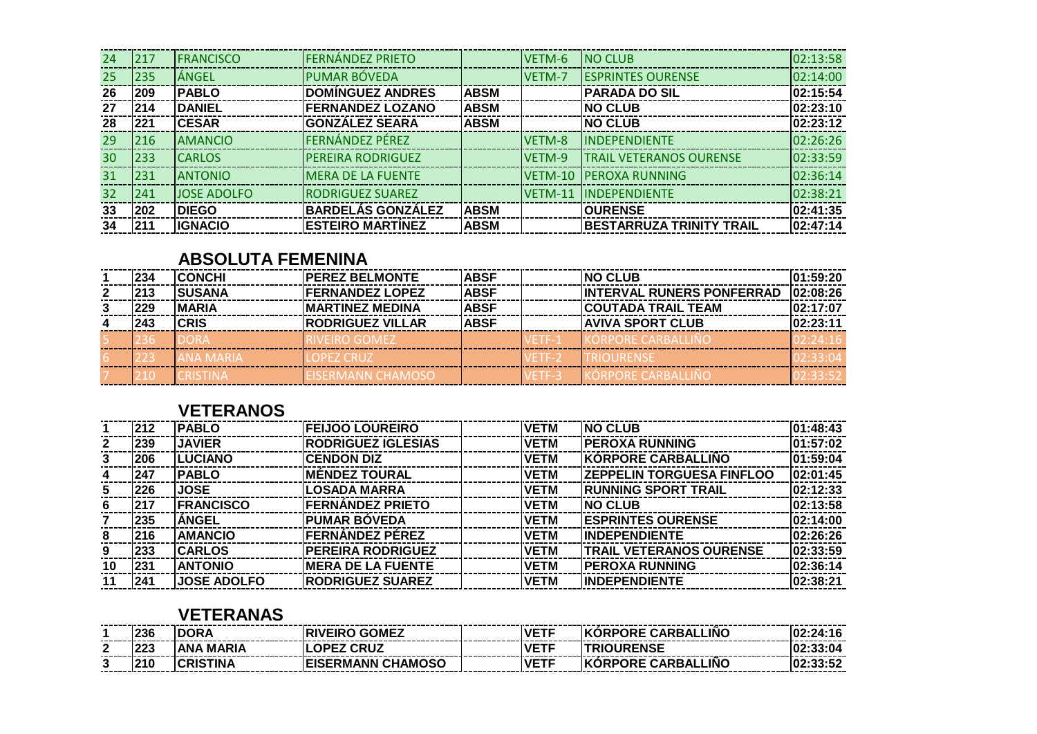| 24 | 217 | <b>FRANCISCO</b>   | <b>FERNÁNDEZ PRIETO</b>  |             | VETM-6  | <b>NO CLUB</b>                 | 02:13:58 |
|----|-----|--------------------|--------------------------|-------------|---------|--------------------------------|----------|
| 25 | 235 | ÁNGEL              | <b>PUMAR BÓVEDA</b>      |             | VETM-7  | <b>ESPRINTES OURENSE</b>       | 02:14:00 |
| 26 | 209 | <b>IPABLO</b>      | <b>DOMINGUEZ ANDRES</b>  | <b>ABSM</b> |         | <b>IPARADA DO SIL</b>          | 02:15:54 |
| 27 | 214 | <b>IDANIEL</b>     | <b>FERNANDEZ LOZANO</b>  | <b>ABSM</b> |         | <b>INO CLUB</b>                | 02:23:10 |
| 28 | 221 | <b>ICESAR</b>      | <b>GONZÁLEZ SEARA</b>    | <b>ABSM</b> |         | <b>INO CLUB</b>                | 02:23:12 |
| 29 | 216 | <b>AMANCIO</b>     | <b>FERNÁNDEZ PÉREZ</b>   |             | VETM-8  | <b>INDEPENDIENTE</b>           | 02:26:26 |
| 30 | 233 | <b>CARLOS</b>      | <b>PEREIRA RODRIGUEZ</b> |             | VETM-9  | <b>TRAIL VETERANOS OURENSE</b> | 02:33:59 |
| 31 | 231 | <b>ANTONIO</b>     | <b>MERA DE LA FUENTE</b> |             | VETM-10 | <b>PEROXA RUNNING</b>          | 02:36:14 |
| 32 | 241 | <b>JOSE ADOLFO</b> | <b>RODRIGUEZ SUAREZ</b>  |             |         | <b>VETM-11 IINDEPENDIENTE</b>  | 02:38:21 |
| 33 | 202 | <b>DIEGO</b>       | <b>BARDELÁS GONZÁLEZ</b> | <b>ABSM</b> |         | <b>OURENSE</b>                 | 02:41:35 |
| 34 | 211 | <b>IGNACIO</b>     | <b>ESTEIRO MARTINEZ</b>  | <b>ABSM</b> |         | BESTARRUZA TRINITY TRAIL       | 02:47:14 |

## **ABSOLUTA FEMENINA**

| 234 | <b>ICONCHI</b> | <b>IPEREZ BELMONTE</b>   | <b>ABSF</b> | <b>INO CLUB</b>                  | 101:59:20 |
|-----|----------------|--------------------------|-------------|----------------------------------|-----------|
| 213 | ISUSANA        | <b>IFERNANDEZ LOPEZ</b>  | <b>ABSF</b> | <b>INTERVAL RUNERS PONFERRAD</b> | 102:08:26 |
| 229 | <b>IMARIA</b>  | <b>IMARTINEZ MEDINA</b>  | <b>ABSF</b> | <b>COUTADA TRAIL TEAM</b>        | 02:17:07  |
| 243 | <b>CRIS</b>    | <b>IRODRIGUEZ VILLAR</b> | <b>ABSF</b> | <b>AVIVA SPORT CLUB</b>          | 02:23:11  |
|     |                | <b>IVEIRO GOMEZ</b>      |             | DRPORF CARRALLING                |           |
|     |                | <b>OPFZ CRUZ</b>         |             |                                  |           |
|     |                | -ISERMANN CHAMOSC        |             | PORE CARRALLI                    |           |

## **VETERANOS**

|    | 212 | <b>IPABLO</b>      | <b>FEIJOO LOUREIRO</b>    | <b>VETM</b> | <b>INO CLUB</b>                  | 101:48:43 |
|----|-----|--------------------|---------------------------|-------------|----------------------------------|-----------|
| 2  | 239 | <b>JAVIER</b>      | <b>RODRIGUEZ IGLESIAS</b> | <b>VETM</b> | <b>IPEROXA RUNNING</b>           | 101:57:02 |
|    | 206 | <b>ILUCIANO</b>    | <b>CENDON DIZ</b>         | <b>VETM</b> | <b>IKÓRPORE CARBALLIÑO</b>       | 101:59:04 |
|    | 247 | <b>IPABLO</b>      | IMÉNDEZ TOURAL            | <b>VETM</b> | <b>ZEPPELIN TORGUESA FINFLOO</b> | 02:01:45  |
|    | 226 | <b>JOSE</b>        | <b>LOSADA MARRA</b>       | <b>VETM</b> | IRUNNING SPORT TRAIL             | 02:12:33  |
| 6  | 217 | <b>IFRANCISCO</b>  | <b>FERNÁNDEZ PRIETO</b>   | <b>VETM</b> | INO CLUB                         | 02:13:58  |
|    | 235 | <b>ANGEL</b>       | <b>IPUMAR BÓVEDA</b>      | <b>VETM</b> | <b>ESPRINTES OURENSE</b>         | 02:14:00  |
|    | 216 | <b>AMANCIO</b>     | <b>FERNANDEZ PÉREZ</b>    | <b>VETM</b> | <b>IINDEPENDIENTE</b>            | 02:26:26  |
| 9  | 233 | <b>ICARLOS</b>     | <b>PEREIRA RODRIGUEZ</b>  | <b>VETM</b> | <b>TRAIL VETERANOS OURENSE</b>   | 02:33:59  |
| 10 | 231 | <b>ANTONIO</b>     | <b>IMERA DE LA FUENTE</b> | <b>VETM</b> | <b>IPEROXA RUNNING</b>           | 02:36:14  |
| 11 | 241 | <b>JOSE ADOLFO</b> | <b>RODRIGUEZ SUAREZ</b>   | <b>VETM</b> | <b>IINDEPENDIENTE</b>            | 02:38:21  |

### **VETERANAS**

|                      | 236        | IDR/               | GOMEZ                 | <b>VETF</b> | <b>ORPORE CARBALLINO</b>  | ------<br>:24:16         |
|----------------------|------------|--------------------|-----------------------|-------------|---------------------------|--------------------------|
| $\ddot{\phantom{m}}$ | nnn<br>-20 | <b>MARIA</b><br>ΑN | <b>CRUZ</b><br>ר -    | <b>VETF</b> | ENSE                      | :33:04                   |
| w                    | .          | ΊN                 | <b>SERMANN CHAM</b> C | <b>VETF</b> | _INC<br><b>ORE CARBAL</b> | 1.99.52<br>JJ.J <i>L</i> |